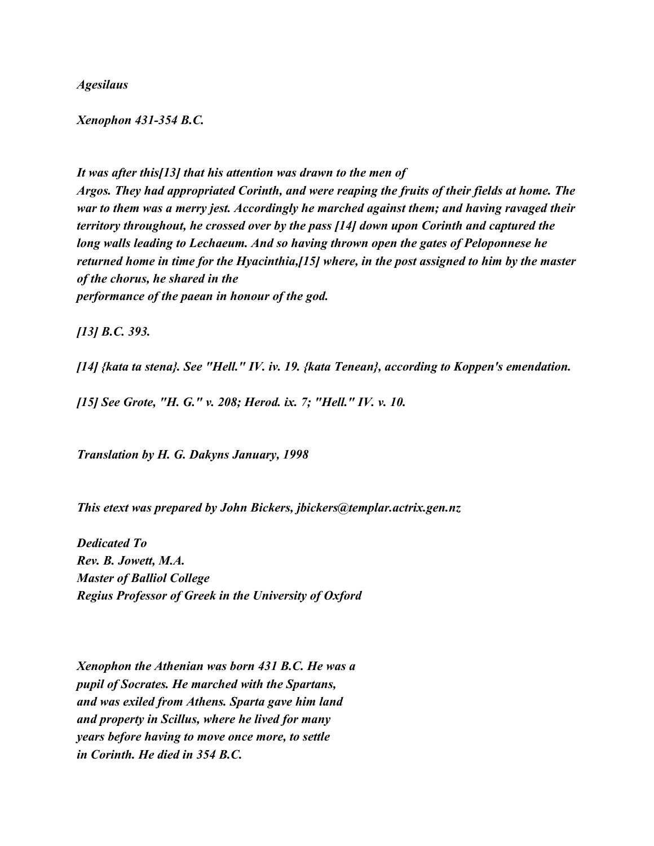*Agesilaus*

## *Xenophon 431-354 B.C.*

*It was after this[13] that his attention was drawn to the men of Argos. They had appropriated Corinth, and were reaping the fruits of their fields at home. The war to them was a merry jest. Accordingly he marched against them; and having ravaged their territory throughout, he crossed over by the pass [14] down upon Corinth and captured the long walls leading to Lechaeum. And so having thrown open the gates of Peloponnese he returned home in time for the Hyacinthia,[15] where, in the post assigned to him by the master of the chorus, he shared in the performance of the paean in honour of the god.*

*[13] B.C. 393.*

*[14] {kata ta stena}. See "Hell." IV. iv. 19. {kata Tenean}, according to Koppen's emendation.*

*[15] See Grote, "H. G." v. 208; Herod. ix. 7; "Hell." IV. v. 10.*

*Translation by H. G. Dakyns January, 1998*

*This etext was prepared by John Bickers, jbickers@templar.actrix.gen.nz*

*Dedicated To Rev. B. Jowett, M.A. Master of Balliol College Regius Professor of Greek in the University of Oxford*

*Xenophon the Athenian was born 431 B.C. He was a pupil of Socrates. He marched with the Spartans, and was exiled from Athens. Sparta gave him land and property in Scillus, where he lived for many years before having to move once more, to settle in Corinth. He died in 354 B.C.*